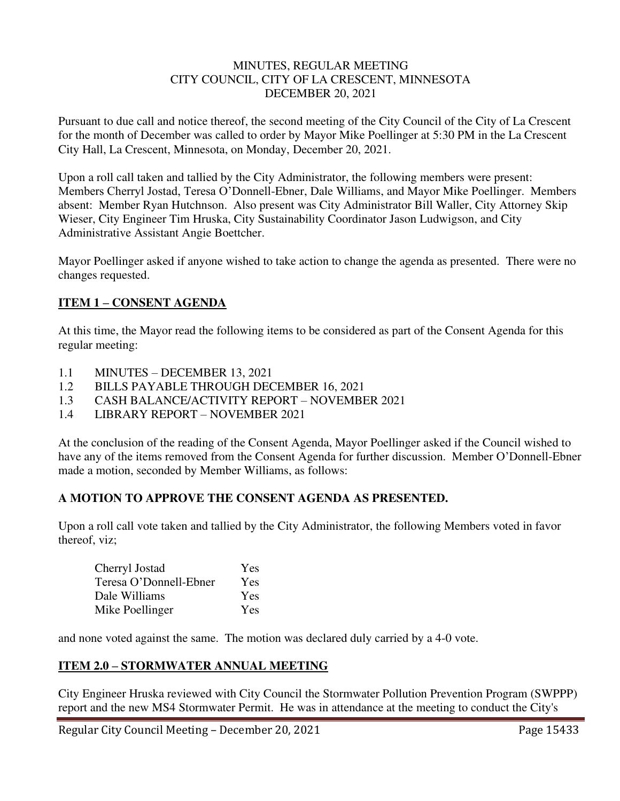#### MINUTES, REGULAR MEETING CITY COUNCIL, CITY OF LA CRESCENT, MINNESOTA DECEMBER 20, 2021

Pursuant to due call and notice thereof, the second meeting of the City Council of the City of La Crescent for the month of December was called to order by Mayor Mike Poellinger at 5:30 PM in the La Crescent City Hall, La Crescent, Minnesota, on Monday, December 20, 2021.

Upon a roll call taken and tallied by the City Administrator, the following members were present: Members Cherryl Jostad, Teresa O'Donnell-Ebner, Dale Williams, and Mayor Mike Poellinger. Members absent: Member Ryan Hutchnson. Also present was City Administrator Bill Waller, City Attorney Skip Wieser, City Engineer Tim Hruska, City Sustainability Coordinator Jason Ludwigson, and City Administrative Assistant Angie Boettcher.

Mayor Poellinger asked if anyone wished to take action to change the agenda as presented. There were no changes requested.

# **ITEM 1 – CONSENT AGENDA**

At this time, the Mayor read the following items to be considered as part of the Consent Agenda for this regular meeting:

- 1.1 MINUTES DECEMBER 13, 2021
- 1.2 BILLS PAYABLE THROUGH DECEMBER 16, 2021
- 1.3 CASH BALANCE/ACTIVITY REPORT NOVEMBER 2021
- 1.4 LIBRARY REPORT NOVEMBER 2021

At the conclusion of the reading of the Consent Agenda, Mayor Poellinger asked if the Council wished to have any of the items removed from the Consent Agenda for further discussion. Member O'Donnell-Ebner made a motion, seconded by Member Williams, as follows:

### **A MOTION TO APPROVE THE CONSENT AGENDA AS PRESENTED.**

Upon a roll call vote taken and tallied by the City Administrator, the following Members voted in favor thereof, viz;

| Cherryl Jostad         | <b>Yes</b> |
|------------------------|------------|
| Teresa O'Donnell-Ebner | Yes        |
| Dale Williams          | Yes        |
| Mike Poellinger        | Yes        |

and none voted against the same. The motion was declared duly carried by a 4-0 vote.

### **ITEM 2.0 – STORMWATER ANNUAL MEETING**

City Engineer Hruska reviewed with City Council the Stormwater Pollution Prevention Program (SWPPP) report and the new MS4 Stormwater Permit. He was in attendance at the meeting to conduct the City's

Regular City Council Meeting – December 20, 2021 Page 15433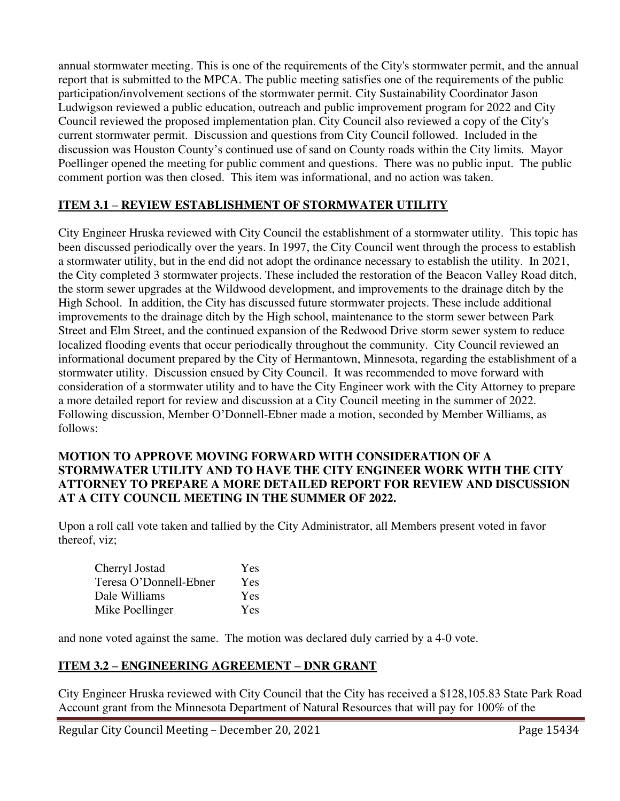annual stormwater meeting. This is one of the requirements of the City's stormwater permit, and the annual report that is submitted to the MPCA. The public meeting satisfies one of the requirements of the public participation/involvement sections of the stormwater permit. City Sustainability Coordinator Jason Ludwigson reviewed a public education, outreach and public improvement program for 2022 and City Council reviewed the proposed implementation plan. City Council also reviewed a copy of the City's current stormwater permit. Discussion and questions from City Council followed. Included in the discussion was Houston County's continued use of sand on County roads within the City limits. Mayor Poellinger opened the meeting for public comment and questions. There was no public input. The public comment portion was then closed. This item was informational, and no action was taken.

# **ITEM 3.1 – REVIEW ESTABLISHMENT OF STORMWATER UTILITY**

City Engineer Hruska reviewed with City Council the establishment of a stormwater utility. This topic has been discussed periodically over the years. In 1997, the City Council went through the process to establish a stormwater utility, but in the end did not adopt the ordinance necessary to establish the utility. In 2021, the City completed 3 stormwater projects. These included the restoration of the Beacon Valley Road ditch, the storm sewer upgrades at the Wildwood development, and improvements to the drainage ditch by the High School. In addition, the City has discussed future stormwater projects. These include additional improvements to the drainage ditch by the High school, maintenance to the storm sewer between Park Street and Elm Street, and the continued expansion of the Redwood Drive storm sewer system to reduce localized flooding events that occur periodically throughout the community. City Council reviewed an informational document prepared by the City of Hermantown, Minnesota, regarding the establishment of a stormwater utility. Discussion ensued by City Council. It was recommended to move forward with consideration of a stormwater utility and to have the City Engineer work with the City Attorney to prepare a more detailed report for review and discussion at a City Council meeting in the summer of 2022. Following discussion, Member O'Donnell-Ebner made a motion, seconded by Member Williams, as follows:

#### **MOTION TO APPROVE MOVING FORWARD WITH CONSIDERATION OF A STORMWATER UTILITY AND TO HAVE THE CITY ENGINEER WORK WITH THE CITY ATTORNEY TO PREPARE A MORE DETAILED REPORT FOR REVIEW AND DISCUSSION AT A CITY COUNCIL MEETING IN THE SUMMER OF 2022.**

Upon a roll call vote taken and tallied by the City Administrator, all Members present voted in favor thereof, viz;

| Cherryl Jostad         | Yes        |
|------------------------|------------|
| Teresa O'Donnell-Ebner | Yes        |
| Dale Williams          | <b>Yes</b> |
| Mike Poellinger        | <b>Yes</b> |

and none voted against the same. The motion was declared duly carried by a 4-0 vote.

### **ITEM 3.2 – ENGINEERING AGREEMENT – DNR GRANT**

City Engineer Hruska reviewed with City Council that the City has received a \$128,105.83 State Park Road Account grant from the Minnesota Department of Natural Resources that will pay for 100% of the

Regular City Council Meeting – December 20, 2021 Page 15434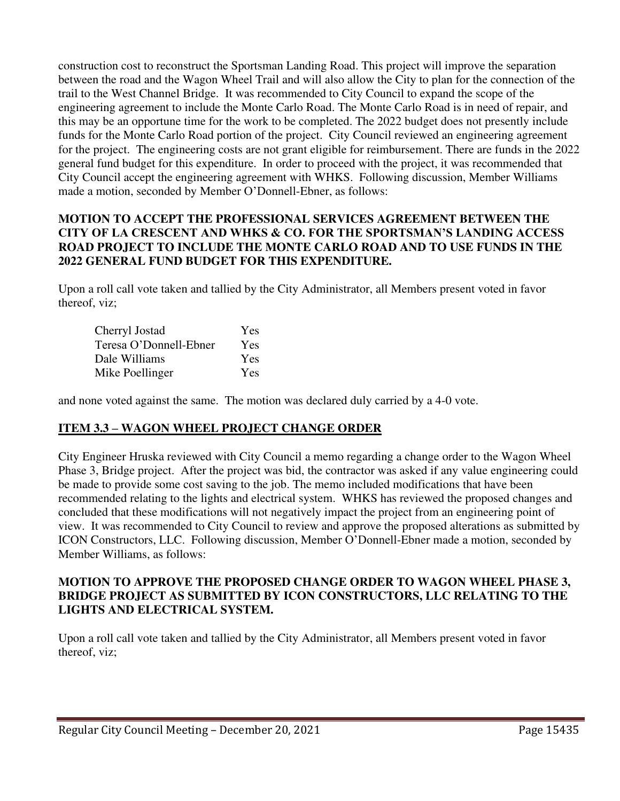construction cost to reconstruct the Sportsman Landing Road. This project will improve the separation between the road and the Wagon Wheel Trail and will also allow the City to plan for the connection of the trail to the West Channel Bridge. It was recommended to City Council to expand the scope of the engineering agreement to include the Monte Carlo Road. The Monte Carlo Road is in need of repair, and this may be an opportune time for the work to be completed. The 2022 budget does not presently include funds for the Monte Carlo Road portion of the project. City Council reviewed an engineering agreement for the project. The engineering costs are not grant eligible for reimbursement. There are funds in the 2022 general fund budget for this expenditure. In order to proceed with the project, it was recommended that City Council accept the engineering agreement with WHKS. Following discussion, Member Williams made a motion, seconded by Member O'Donnell-Ebner, as follows:

### **MOTION TO ACCEPT THE PROFESSIONAL SERVICES AGREEMENT BETWEEN THE CITY OF LA CRESCENT AND WHKS & CO. FOR THE SPORTSMAN'S LANDING ACCESS ROAD PROJECT TO INCLUDE THE MONTE CARLO ROAD AND TO USE FUNDS IN THE 2022 GENERAL FUND BUDGET FOR THIS EXPENDITURE.**

Upon a roll call vote taken and tallied by the City Administrator, all Members present voted in favor thereof, viz;

| Cherryl Jostad         | Yes        |
|------------------------|------------|
| Teresa O'Donnell-Ebner | <b>Yes</b> |
| Dale Williams          | Yes        |
| Mike Poellinger        | Yes        |

and none voted against the same. The motion was declared duly carried by a 4-0 vote.

# **ITEM 3.3 – WAGON WHEEL PROJECT CHANGE ORDER**

City Engineer Hruska reviewed with City Council a memo regarding a change order to the Wagon Wheel Phase 3, Bridge project. After the project was bid, the contractor was asked if any value engineering could be made to provide some cost saving to the job. The memo included modifications that have been recommended relating to the lights and electrical system. WHKS has reviewed the proposed changes and concluded that these modifications will not negatively impact the project from an engineering point of view. It was recommended to City Council to review and approve the proposed alterations as submitted by ICON Constructors, LLC. Following discussion, Member O'Donnell-Ebner made a motion, seconded by Member Williams, as follows:

#### **MOTION TO APPROVE THE PROPOSED CHANGE ORDER TO WAGON WHEEL PHASE 3, BRIDGE PROJECT AS SUBMITTED BY ICON CONSTRUCTORS, LLC RELATING TO THE LIGHTS AND ELECTRICAL SYSTEM.**

Upon a roll call vote taken and tallied by the City Administrator, all Members present voted in favor thereof, viz;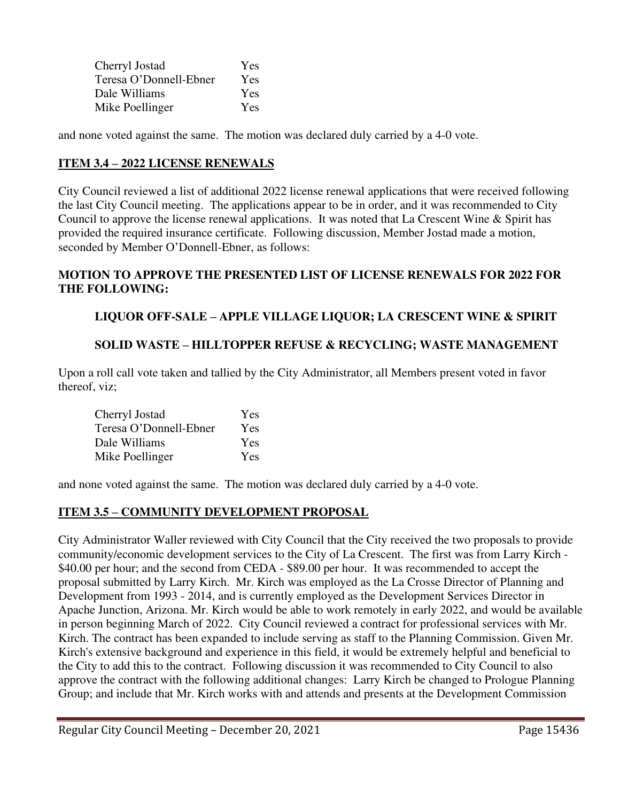| Cherryl Jostad         | Yes        |
|------------------------|------------|
| Teresa O'Donnell-Ebner | Yes        |
| Dale Williams          | <b>Yes</b> |
| Mike Poellinger        | Yes        |

and none voted against the same. The motion was declared duly carried by a 4-0 vote.

## **ITEM 3.4 – 2022 LICENSE RENEWALS**

City Council reviewed a list of additional 2022 license renewal applications that were received following the last City Council meeting. The applications appear to be in order, and it was recommended to City Council to approve the license renewal applications. It was noted that La Crescent Wine & Spirit has provided the required insurance certificate. Following discussion, Member Jostad made a motion, seconded by Member O'Donnell-Ebner, as follows:

#### **MOTION TO APPROVE THE PRESENTED LIST OF LICENSE RENEWALS FOR 2022 FOR THE FOLLOWING:**

# **LIQUOR OFF-SALE – APPLE VILLAGE LIQUOR; LA CRESCENT WINE & SPIRIT**

### **SOLID WASTE – HILLTOPPER REFUSE & RECYCLING; WASTE MANAGEMENT**

Upon a roll call vote taken and tallied by the City Administrator, all Members present voted in favor thereof, viz;

| Cherryl Jostad         | Yes |
|------------------------|-----|
| Teresa O'Donnell-Ebner | Yes |
| Dale Williams          | Yes |
| Mike Poellinger        | Yes |

and none voted against the same. The motion was declared duly carried by a 4-0 vote.

### **ITEM 3.5 – COMMUNITY DEVELOPMENT PROPOSAL**

City Administrator Waller reviewed with City Council that the City received the two proposals to provide community/economic development services to the City of La Crescent. The first was from Larry Kirch - \$40.00 per hour; and the second from CEDA - \$89.00 per hour. It was recommended to accept the proposal submitted by Larry Kirch. Mr. Kirch was employed as the La Crosse Director of Planning and Development from 1993 - 2014, and is currently employed as the Development Services Director in Apache Junction, Arizona. Mr. Kirch would be able to work remotely in early 2022, and would be available in person beginning March of 2022. City Council reviewed a contract for professional services with Mr. Kirch. The contract has been expanded to include serving as staff to the Planning Commission. Given Mr. Kirch's extensive background and experience in this field, it would be extremely helpful and beneficial to the City to add this to the contract. Following discussion it was recommended to City Council to also approve the contract with the following additional changes: Larry Kirch be changed to Prologue Planning Group; and include that Mr. Kirch works with and attends and presents at the Development Commission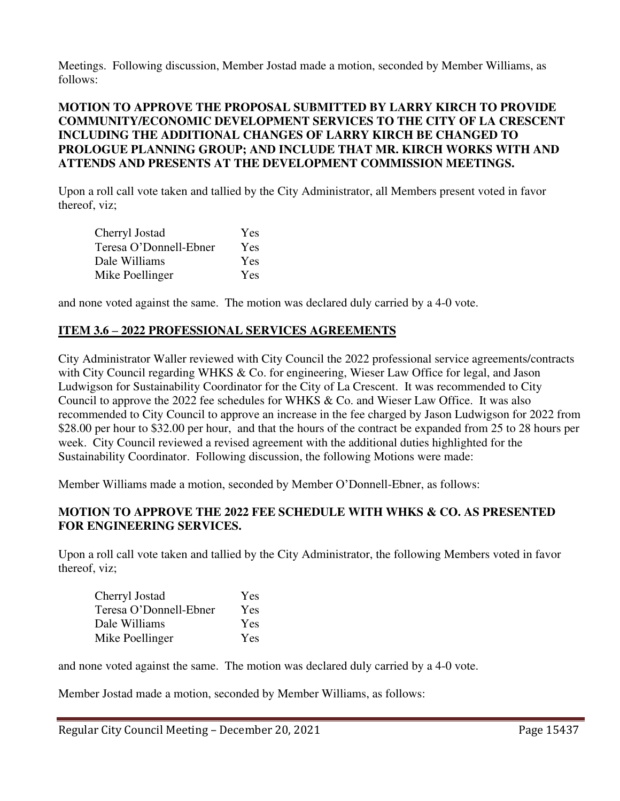Meetings. Following discussion, Member Jostad made a motion, seconded by Member Williams, as follows:

### **MOTION TO APPROVE THE PROPOSAL SUBMITTED BY LARRY KIRCH TO PROVIDE COMMUNITY/ECONOMIC DEVELOPMENT SERVICES TO THE CITY OF LA CRESCENT INCLUDING THE ADDITIONAL CHANGES OF LARRY KIRCH BE CHANGED TO PROLOGUE PLANNING GROUP; AND INCLUDE THAT MR. KIRCH WORKS WITH AND ATTENDS AND PRESENTS AT THE DEVELOPMENT COMMISSION MEETINGS.**

Upon a roll call vote taken and tallied by the City Administrator, all Members present voted in favor thereof, viz;

| Cherryl Jostad         | Yes        |
|------------------------|------------|
| Teresa O'Donnell-Ebner | <b>Yes</b> |
| Dale Williams          | Yes        |
| Mike Poellinger        | Yes        |

and none voted against the same. The motion was declared duly carried by a 4-0 vote.

### **ITEM 3.6 – 2022 PROFESSIONAL SERVICES AGREEMENTS**

City Administrator Waller reviewed with City Council the 2022 professional service agreements/contracts with City Council regarding WHKS & Co. for engineering, Wieser Law Office for legal, and Jason Ludwigson for Sustainability Coordinator for the City of La Crescent. It was recommended to City Council to approve the 2022 fee schedules for WHKS & Co. and Wieser Law Office. It was also recommended to City Council to approve an increase in the fee charged by Jason Ludwigson for 2022 from \$28.00 per hour to \$32.00 per hour, and that the hours of the contract be expanded from 25 to 28 hours per week. City Council reviewed a revised agreement with the additional duties highlighted for the Sustainability Coordinator. Following discussion, the following Motions were made:

Member Williams made a motion, seconded by Member O'Donnell-Ebner, as follows:

### **MOTION TO APPROVE THE 2022 FEE SCHEDULE WITH WHKS & CO. AS PRESENTED FOR ENGINEERING SERVICES.**

Upon a roll call vote taken and tallied by the City Administrator, the following Members voted in favor thereof, viz;

| Cherryl Jostad         | Yes |
|------------------------|-----|
| Teresa O'Donnell-Ebner | Yes |
| Dale Williams          | Yes |
| Mike Poellinger        | Yes |

and none voted against the same. The motion was declared duly carried by a 4-0 vote.

Member Jostad made a motion, seconded by Member Williams, as follows:

Regular City Council Meeting – December 20, 2021 Page 15437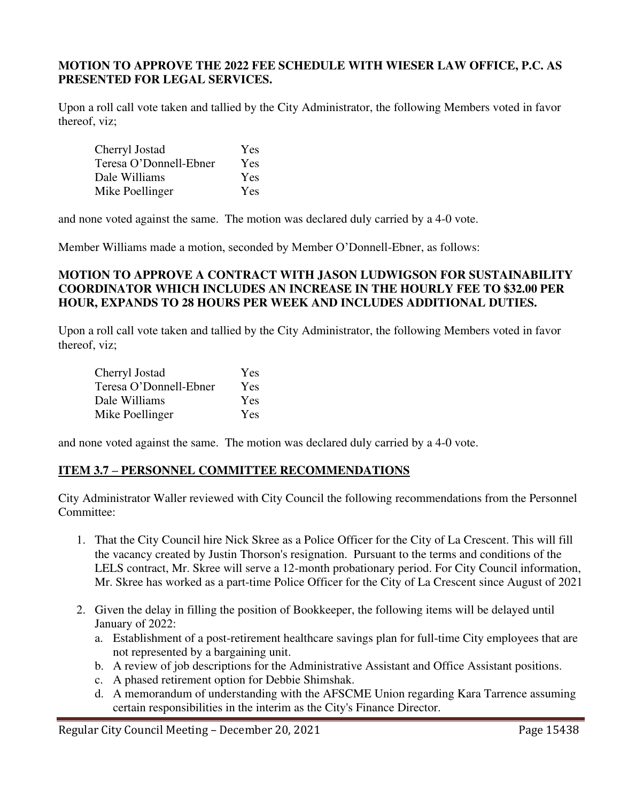#### **MOTION TO APPROVE THE 2022 FEE SCHEDULE WITH WIESER LAW OFFICE, P.C. AS PRESENTED FOR LEGAL SERVICES.**

Upon a roll call vote taken and tallied by the City Administrator, the following Members voted in favor thereof, viz;

| Cherryl Jostad         | Yes        |
|------------------------|------------|
| Teresa O'Donnell-Ebner | Yes        |
| Dale Williams          | <b>Yes</b> |
| Mike Poellinger        | <b>Yes</b> |

and none voted against the same. The motion was declared duly carried by a 4-0 vote.

Member Williams made a motion, seconded by Member O'Donnell-Ebner, as follows:

### **MOTION TO APPROVE A CONTRACT WITH JASON LUDWIGSON FOR SUSTAINABILITY COORDINATOR WHICH INCLUDES AN INCREASE IN THE HOURLY FEE TO \$32.00 PER HOUR, EXPANDS TO 28 HOURS PER WEEK AND INCLUDES ADDITIONAL DUTIES.**

Upon a roll call vote taken and tallied by the City Administrator, the following Members voted in favor thereof, viz;

| Cherryl Jostad         | Yes        |
|------------------------|------------|
| Teresa O'Donnell-Ebner | Yes        |
| Dale Williams          | <b>Yes</b> |
| Mike Poellinger        | Yes        |

and none voted against the same. The motion was declared duly carried by a 4-0 vote.

### **ITEM 3.7 – PERSONNEL COMMITTEE RECOMMENDATIONS**

City Administrator Waller reviewed with City Council the following recommendations from the Personnel Committee:

- 1. That the City Council hire Nick Skree as a Police Officer for the City of La Crescent. This will fill the vacancy created by Justin Thorson's resignation. Pursuant to the terms and conditions of the LELS contract, Mr. Skree will serve a 12-month probationary period. For City Council information, Mr. Skree has worked as a part-time Police Officer for the City of La Crescent since August of 2021
- 2. Given the delay in filling the position of Bookkeeper, the following items will be delayed until January of 2022:
	- a. Establishment of a post-retirement healthcare savings plan for full-time City employees that are not represented by a bargaining unit.
	- b. A review of job descriptions for the Administrative Assistant and Office Assistant positions.
	- c. A phased retirement option for Debbie Shimshak.
	- d. A memorandum of understanding with the AFSCME Union regarding Kara Tarrence assuming certain responsibilities in the interim as the City's Finance Director.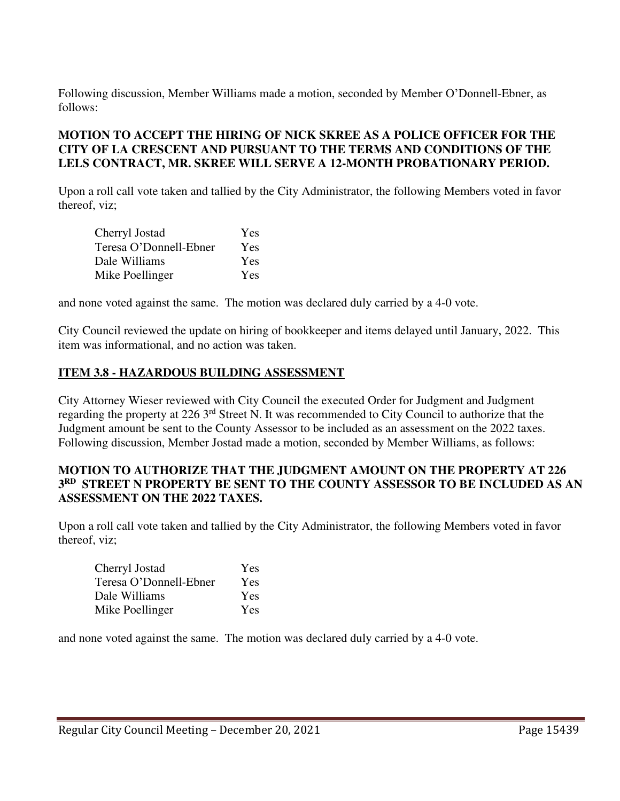Following discussion, Member Williams made a motion, seconded by Member O'Donnell-Ebner, as follows:

# **MOTION TO ACCEPT THE HIRING OF NICK SKREE AS A POLICE OFFICER FOR THE CITY OF LA CRESCENT AND PURSUANT TO THE TERMS AND CONDITIONS OF THE LELS CONTRACT, MR. SKREE WILL SERVE A 12-MONTH PROBATIONARY PERIOD.**

Upon a roll call vote taken and tallied by the City Administrator, the following Members voted in favor thereof, viz;

| Cherryl Jostad         | Yes        |
|------------------------|------------|
| Teresa O'Donnell-Ebner | Yes        |
| Dale Williams          | Yes        |
| Mike Poellinger        | <b>Yes</b> |

and none voted against the same. The motion was declared duly carried by a 4-0 vote.

City Council reviewed the update on hiring of bookkeeper and items delayed until January, 2022. This item was informational, and no action was taken.

#### **ITEM 3.8 - HAZARDOUS BUILDING ASSESSMENT**

City Attorney Wieser reviewed with City Council the executed Order for Judgment and Judgment regarding the property at 226 3rd Street N. It was recommended to City Council to authorize that the Judgment amount be sent to the County Assessor to be included as an assessment on the 2022 taxes. Following discussion, Member Jostad made a motion, seconded by Member Williams, as follows:

#### **MOTION TO AUTHORIZE THAT THE JUDGMENT AMOUNT ON THE PROPERTY AT 226 3 RD STREET N PROPERTY BE SENT TO THE COUNTY ASSESSOR TO BE INCLUDED AS AN ASSESSMENT ON THE 2022 TAXES.**

Upon a roll call vote taken and tallied by the City Administrator, the following Members voted in favor thereof, viz;

| Cherryl Jostad         | Yes |
|------------------------|-----|
| Teresa O'Donnell-Ebner | Yes |
| Dale Williams          | Yes |
| Mike Poellinger        | Yes |

and none voted against the same. The motion was declared duly carried by a 4-0 vote.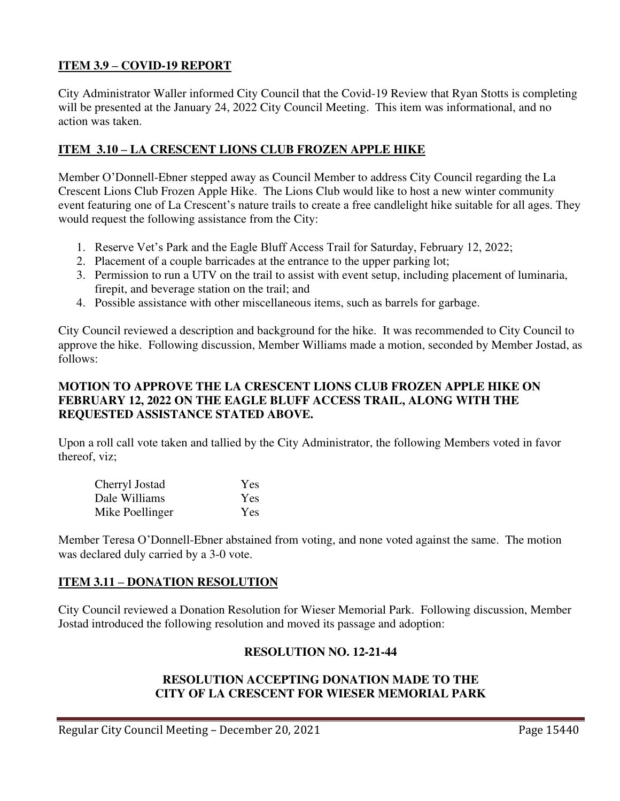## **ITEM 3.9 – COVID-19 REPORT**

City Administrator Waller informed City Council that the Covid-19 Review that Ryan Stotts is completing will be presented at the January 24, 2022 City Council Meeting. This item was informational, and no action was taken.

# **ITEM 3.10 – LA CRESCENT LIONS CLUB FROZEN APPLE HIKE**

Member O'Donnell-Ebner stepped away as Council Member to address City Council regarding the La Crescent Lions Club Frozen Apple Hike. The Lions Club would like to host a new winter community event featuring one of La Crescent's nature trails to create a free candlelight hike suitable for all ages. They would request the following assistance from the City:

- 1. Reserve Vet's Park and the Eagle Bluff Access Trail for Saturday, February 12, 2022;
- 2. Placement of a couple barricades at the entrance to the upper parking lot;
- 3. Permission to run a UTV on the trail to assist with event setup, including placement of luminaria, firepit, and beverage station on the trail; and
- 4. Possible assistance with other miscellaneous items, such as barrels for garbage.

City Council reviewed a description and background for the hike. It was recommended to City Council to approve the hike. Following discussion, Member Williams made a motion, seconded by Member Jostad, as follows:

### **MOTION TO APPROVE THE LA CRESCENT LIONS CLUB FROZEN APPLE HIKE ON FEBRUARY 12, 2022 ON THE EAGLE BLUFF ACCESS TRAIL, ALONG WITH THE REQUESTED ASSISTANCE STATED ABOVE.**

Upon a roll call vote taken and tallied by the City Administrator, the following Members voted in favor thereof, viz;

| Cherryl Jostad  | Yes        |
|-----------------|------------|
| Dale Williams   | Yes        |
| Mike Poellinger | <b>Yes</b> |

Member Teresa O'Donnell-Ebner abstained from voting, and none voted against the same. The motion was declared duly carried by a 3-0 vote.

### **ITEM 3.11 – DONATION RESOLUTION**

City Council reviewed a Donation Resolution for Wieser Memorial Park. Following discussion, Member Jostad introduced the following resolution and moved its passage and adoption:

### **RESOLUTION NO. 12-21-44**

### **RESOLUTION ACCEPTING DONATION MADE TO THE CITY OF LA CRESCENT FOR WIESER MEMORIAL PARK**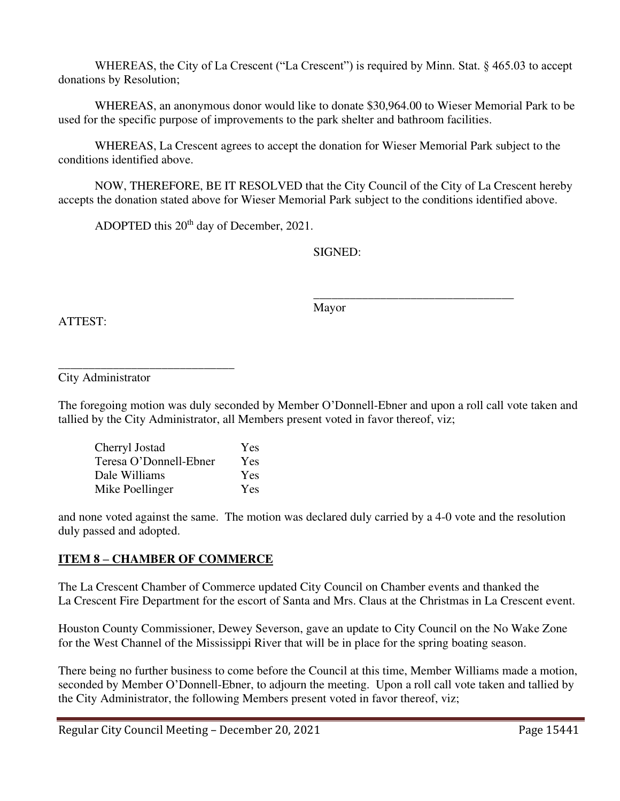WHEREAS, the City of La Crescent ("La Crescent") is required by Minn. Stat. § 465.03 to accept donations by Resolution;

WHEREAS, an anonymous donor would like to donate \$30,964.00 to Wieser Memorial Park to be used for the specific purpose of improvements to the park shelter and bathroom facilities.

WHEREAS, La Crescent agrees to accept the donation for Wieser Memorial Park subject to the conditions identified above.

NOW, THEREFORE, BE IT RESOLVED that the City Council of the City of La Crescent hereby accepts the donation stated above for Wieser Memorial Park subject to the conditions identified above.

ADOPTED this 20<sup>th</sup> day of December, 2021.

SIGNED:

ATTEST:

 $\overline{\phantom{a}}$  , and the contract of the contract of the contract of the contract of the contract of the contract of the contract of the contract of the contract of the contract of the contract of the contract of the contrac Mayor

\_\_\_\_\_\_\_\_\_\_\_\_\_\_\_\_\_\_\_\_\_\_\_\_\_\_\_\_\_ City Administrator

The foregoing motion was duly seconded by Member O'Donnell-Ebner and upon a roll call vote taken and tallied by the City Administrator, all Members present voted in favor thereof, viz;

| Cherryl Jostad         | Yes |
|------------------------|-----|
| Teresa O'Donnell-Ebner | Yes |
| Dale Williams          | Yes |
| Mike Poellinger        | Yes |

and none voted against the same. The motion was declared duly carried by a 4-0 vote and the resolution duly passed and adopted.

# **ITEM 8 – CHAMBER OF COMMERCE**

The La Crescent Chamber of Commerce updated City Council on Chamber events and thanked the La Crescent Fire Department for the escort of Santa and Mrs. Claus at the Christmas in La Crescent event.

Houston County Commissioner, Dewey Severson, gave an update to City Council on the No Wake Zone for the West Channel of the Mississippi River that will be in place for the spring boating season.

There being no further business to come before the Council at this time, Member Williams made a motion, seconded by Member O'Donnell-Ebner, to adjourn the meeting. Upon a roll call vote taken and tallied by the City Administrator, the following Members present voted in favor thereof, viz;